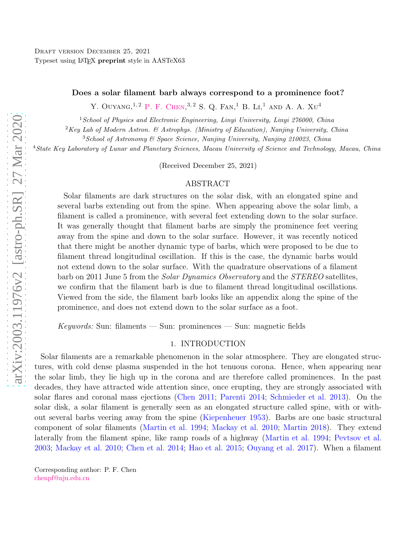#### Does a solar filament barb always correspond to a prominence foot?

Y. OUYANG,  $^{1,2}$  P. F. CHEN,  $^{3,2}$  S. Q. Fan,  $^{1}$  B. Li,  $^{1}$  and A. A. Xu<sup>4</sup>

 $1$ School of Physics and Electronic Engineering, Linyi University, Linyi 276000, China

 ${}^{2}$ Key Lab of Modern Astron. & Astrophys. (Ministry of Education), Nanjing University, China

<sup>3</sup>School of Astronomy & Space Science, Nanjing University, Nanjing 210023, China

<sup>4</sup>State Key Laboratory of Lunar and Planetary Sciences, Macau University of Science and Technology, Macau, China

(Received December 25, 2021)

### ABSTRACT

Solar filaments are dark structures on the solar disk, with an elongated spine and several barbs extending out from the spine. When appearing above the solar limb, a filament is called a prominence, with several feet extending down to the solar surface. It was generally thought that filament barbs are simply the prominence feet veering away from the spine and down to the solar surface. However, it was recently noticed that there might be another dynamic type of barbs, which were proposed to be due to filament thread longitudinal oscillation. If this is the case, the dynamic barbs would not extend down to the solar surface. With the quadrature observations of a filament barb on 2011 June 5 from the Solar Dynamics Observatory and the STEREO satellites, we confirm that the filament barb is due to filament thread longitudinal oscillations. Viewed from the side, the filament barb looks like an appendix along the spine of the prominence, and does not extend down to the solar surface as a foot.

 $Keywords: Sun: filaments — Sun: prominences — Sun: magnetic fields$ 

### 1. INTRODUCTION

Solar filaments are a remarkable phenomenon in the solar atmosphere. They are elongated structures, with cold dense plasma suspended in the hot tenuous corona. Hence, when appearing near the solar limb, they lie high up in the corona and are therefore called prominences. In the past decades, they have attracted wide attention since, once erupting, they are strongly associated with solar flares and coronal mass ejections [\(Chen 2011;](#page-6-0) [Parenti 2014;](#page-7-0) [Schmieder et al. 2013\)](#page-7-1). On the solar disk, a solar filament is generally seen as an elongated structure called spine, with or without several barbs veering away from the spine [\(Kiepenheuer 1953\)](#page-7-2). Barbs are one basic structural component of solar filaments [\(Martin et al. 1994;](#page-7-3) [Mackay et al. 2010;](#page-7-4) [Martin 2018\)](#page-7-5). They extend laterally from the filament spine, like ramp roads of a highway [\(Martin et al. 1994;](#page-7-3) [Pevtsov et al.](#page-7-6) [2003](#page-7-6); [Mackay et al. 2010](#page-7-4); [Chen et al. 2014](#page-6-1); [Hao et al. 2015](#page-7-7); [Ouyang et al. 2017](#page-7-8)). When a filament

Corresponding author: P. F. Chen [chenpf@nju.edu.cn](mailto: chenpf@nju.edu.cn)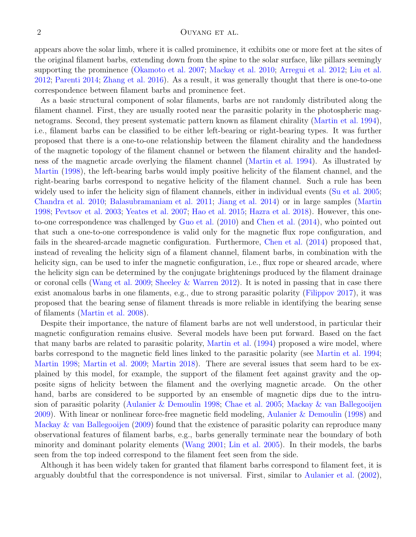#### 2 OUYANG ET AL.

appears above the solar limb, where it is called prominence, it exhibits one or more feet at the sites of the original filament barbs, extending down from the spine to the solar surface, like pillars seemingly supporting the prominence [\(Okamoto et al. 2007](#page-7-9); [Mackay et al. 2010;](#page-7-4) [Arregui et al. 2012;](#page-6-2) [Liu et al.](#page-7-10) [2012](#page-7-10); [Parenti 2014](#page-7-0); [Zhang et al. 2016\)](#page-8-0). As a result, it was generally thought that there is one-to-one correspondence between filament barbs and prominence feet.

As a basic structural component of solar filaments, barbs are not randomly distributed along the filament channel. First, they are usually rooted near the parasitic polarity in the photospheric magnetograms. Second, they present systematic pattern known as filament chirality [\(Martin et al. 1994](#page-7-3)), i.e., filament barbs can be classified to be either left-bearing or right-bearing types. It was further proposed that there is a one-to-one relationship between the filament chirality and the handedness of the magnetic topology of the filament channel or between the filament chirality and the handedness of the magnetic arcade overlying the filament channel [\(Martin et al. 1994](#page-7-3)). As illustrated by [Martin](#page-7-11) [\(1998](#page-7-11)), the left-bearing barbs would imply positive helicity of the filament channel, and the right-bearing barbs correspond to negative helicity of the filament channel. Such a rule has been widely used to infer the helicity sign of filament channels, either in individual events [\(Su et al. 2005;](#page-7-12) [Chandra et al. 2010;](#page-6-3) [Balasubramaniam et al. 2011;](#page-6-4) [Jiang et al. 2014\)](#page-7-13) or in large samples [\(Martin](#page-7-11) [1998](#page-7-11); [Pevtsov et al. 2003](#page-7-6); [Yeates et al. 2007;](#page-8-1) [Hao et al. 2015](#page-7-7); [Hazra et al. 2018\)](#page-7-14). However, this oneto-one correspondence was challenged by [Guo et al.](#page-7-15) [\(2010\)](#page-7-15) and [Chen et al.](#page-6-1) [\(2014\)](#page-6-1), who pointed out that such a one-to-one correspondence is valid only for the magnetic flux rope configuration, and fails in the sheared-arcade magnetic configuration. Furthermore, [Chen et al.](#page-6-1) [\(2014](#page-6-1)) proposed that, instead of revealing the helicity sign of a filament channel, filament barbs, in combination with the helicity sign, can be used to infer the magnetic configuration, i.e., flux rope or sheared arcade, where the helicity sign can be determined by the conjugate brightenings produced by the filament drainage or coronal cells [\(Wang et al. 2009;](#page-8-2) [Sheeley & Warren 2012\)](#page-7-16). It is noted in passing that in case there exist anomalous barbs in one filaments, e.g., due to strong parasitic polarity [\(Filippov 2017\)](#page-7-17), it was proposed that the bearing sense of filament threads is more reliable in identifying the bearing sense of filaments [\(Martin et al. 2008](#page-7-18)).

Despite their importance, the nature of filament barbs are not well understood, in particular their magnetic configuration remains elusive. Several models have been put forward. Based on the fact that many barbs are related to parasitic polarity, [Martin et al.](#page-7-3) [\(1994\)](#page-7-3) proposed a wire model, where barbs correspond to the magnetic field lines linked to the parasitic polarity (see [Martin et al. 1994;](#page-7-3) [Martin 1998](#page-7-11); [Martin et al. 2009;](#page-7-19) [Martin 2018\)](#page-7-5). There are several issues that seem hard to be explained by this model, for example, the support of the filament feet against gravity and the opposite signs of helicity between the filament and the overlying magnetic arcade. On the other hand, barbs are considered to be supported by an ensemble of magnetic dips due to the intrusion of parasitic polarity [\(Aulanier & Demoulin 1998;](#page-6-5) [Chae et al. 2005;](#page-6-6) [Mackay & van Ballegooijen](#page-7-20) [2009](#page-7-20)). With linear or nonlinear force-free magnetic field modeling, [Aulanier & Demoulin](#page-6-5) [\(1998\)](#page-6-5) and [Mackay & van Ballegooijen](#page-7-20) [\(2009\)](#page-7-20) found that the existence of parasitic polarity can reproduce many observational features of filament barbs, e.g., barbs generally terminate near the boundary of both minority and dominant polarity elements [\(Wang 2001](#page-8-3); [Lin et al. 2005\)](#page-7-21). In their models, the barbs seen from the top indeed correspond to the filament feet seen from the side.

Although it has been widely taken for granted that filament barbs correspond to filament feet, it is arguably doubtful that the correspondence is not universal. First, similar to [Aulanier et al.](#page-6-7) [\(2002](#page-6-7)),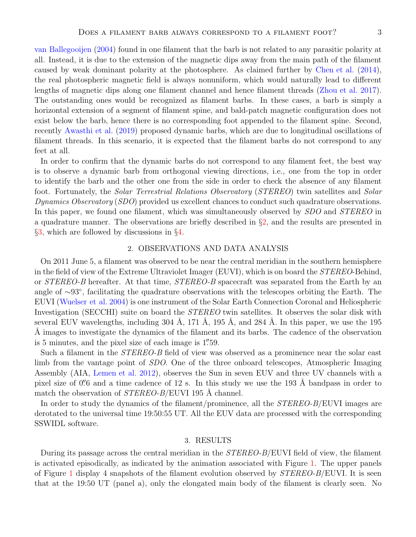[van Ballegooijen](#page-7-22) [\(2004](#page-7-22)) found in one filament that the barb is not related to any parasitic polarity at all. Instead, it is due to the extension of the magnetic dips away from the main path of the filament caused by weak dominant polarity at the photosphere. As claimed further by [Chen et al.](#page-6-1) [\(2014](#page-6-1)), the real photospheric magnetic field is always nonuniform, which would naturally lead to different lengths of magnetic dips along one filament channel and hence filament threads [\(Zhou et al. 2017](#page-8-4)). The outstanding ones would be recognized as filament barbs. In these cases, a barb is simply a horizontal extension of a segment of filament spine, and bald-patch magnetic configuration does not exist below the barb, hence there is no corresponding foot appended to the filament spine. Second, recently [Awasthi et al.](#page-6-8) [\(2019](#page-6-8)) proposed dynamic barbs, which are due to longitudinal oscillations of filament threads. In this scenario, it is expected that the filament barbs do not correspond to any feet at all.

In order to confirm that the dynamic barbs do not correspond to any filament feet, the best way is to observe a dynamic barb from orthogonal viewing directions, i.e., one from the top in order to identify the barb and the other one from the side in order to check the absence of any filament foot. Fortunately, the *Solar Terrestrial Relations Observatory (STEREO)* twin satellites and *Solar* Dynamics Observatory (SDO) provided us excellent chances to conduct such quadrature observations. In this paper, we found one filament, which was simultaneously observed by SDO and STEREO in a quadrature manner. The observations are briefly described in  $\S2$ , and the results are presented in §[3,](#page-2-1) which are followed by discussions in §[4.](#page-4-0)

## 2. OBSERVATIONS AND DATA ANALYSIS

<span id="page-2-0"></span>On 2011 June 5, a filament was observed to be near the central meridian in the southern hemisphere in the field of view of the Extreme Ultraviolet Imager (EUVI), which is on board the *STEREO*-Behind, or STEREO-B hereafter. At that time, STEREO-B spacecraft was separated from the Earth by an angle of ∼93◦ , facilitating the quadrature observations with the telescopes orbiting the Earth. The EUVI [\(Wuelser et al. 2004\)](#page-8-5) is one instrument of the Solar Earth Connection Coronal and Heliospheric Investigation (SECCHI) suite on board the *STEREO* twin satellites. It observes the solar disk with several EUV wavelengths, including  $304 \text{ Å}$ ,  $171 \text{ Å}$ ,  $195 \text{ Å}$ , and  $284 \text{ Å}$ . In this paper, we use the 195 Å images to investigate the dynamics of the filament and its barbs. The cadence of the observation is 5 minutes, and the pixel size of each image is 1"59.

Such a filament in the *STEREO-B* field of view was observed as a prominence near the solar east limb from the vantage point of SDO. One of the three onboard telescopes, Atmospheric Imaging Assembly (AIA, [Lemen et al. 2012\)](#page-7-23), observes the Sun in seven EUV and three UV channels with a pixel size of  $0\rlap.{''}6$  and a time cadence of 12 s. In this study we use the 193 Å bandpass in order to match the observation of  $STEREO-B/EUVI$  195 Å channel.

<span id="page-2-1"></span>In order to study the dynamics of the filament/prominence, all the *STEREO-B*/EUVI images are derotated to the universal time 19:50:55 UT. All the EUV data are processed with the corresponding SSWIDL software.

## 3. RESULTS

During its passage across the central meridian in the *STEREO-B*/EUVI field of view, the filament is activated episodically, as indicated by the animation associated with Figure [1.](#page-9-0) The upper panels of Figure [1](#page-9-0) display 4 snapshots of the filament evolution observed by  $STEREO-B/EUVI$ . It is seen that at the 19:50 UT (panel a), only the elongated main body of the filament is clearly seen. No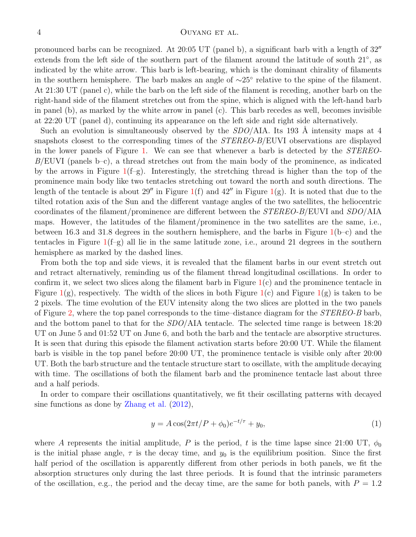#### 4 OUYANG ET AL.

pronounced barbs can be recognized. At 20:05 UT (panel b), a significant barb with a length of 32′′ extends from the left side of the southern part of the filament around the latitude of south 21<sup>°</sup>, as indicated by the white arrow. This barb is left-bearing, which is the dominant chirality of filaments in the southern hemisphere. The barb makes an angle of ∼25◦ relative to the spine of the filament. At 21:30 UT (panel c), while the barb on the left side of the filament is receding, another barb on the right-hand side of the filament stretches out from the spine, which is aligned with the left-hand barb in panel (b), as marked by the white arrow in panel (c). This barb recedes as well, becomes invisible at 22:20 UT (panel d), continuing its appearance on the left side and right side alternatively.

Such an evolution is simultaneously observed by the  $SDO/ATA$ . Its 193 Å intensity maps at 4 snapshots closest to the corresponding times of the *STEREO-B*/EUVI observations are displayed in the lower panels of Figure [1.](#page-9-0) We can see that whenever a barb is detected by the STEREO- $B/EUVI$  (panels b–c), a thread stretches out from the main body of the prominence, as indicated by the arrows in Figure  $1(f-g)$  $1(f-g)$ . Interestingly, the stretching thread is higher than the top of the prominence main body like two tentacles stretching out toward the north and south directions. The length of the tentacle is about 29'' in Figure  $1(f)$  $1(f)$  and  $42''$  in Figure  $1(g)$ . It is noted that due to the tilted rotation axis of the Sun and the different vantage angles of the two satellites, the heliocentric coordinates of the filament/prominence are different between the STEREO-B/EUVI and SDO/AIA maps. However, the latitudes of the filament/prominence in the two satellites are the same, i.e., between 16.3 and 31.8 degrees in the southern hemisphere, and the barbs in Figure  $1(b-c)$  $1(b-c)$  and the tentacles in Figure  $1(f-g)$  $1(f-g)$  all lie in the same latitude zone, i.e., around 21 degrees in the southern hemisphere as marked by the dashed lines.

From both the top and side views, it is revealed that the filament barbs in our event stretch out and retract alternatively, reminding us of the filament thread longitudinal oscillations. In order to confirm it, we select two slices along the filament barb in Figure  $1(c)$  $1(c)$  and the prominence tentacle in Figure  $1(g)$  $1(g)$ , respectively. The width of the slices in both Figure  $1(c)$  and Figure  $1(g)$  is taken to be 2 pixels. The time evolution of the EUV intensity along the two slices are plotted in the two panels of Figure [2,](#page-10-0) where the top panel corresponds to the time–distance diagram for the STEREO-B barb, and the bottom panel to that for the  $SDO/AA$  tentacle. The selected time range is between 18:20 UT on June 5 and 01:52 UT on June 6, and both the barb and the tentacle are absorptive structures. It is seen that during this episode the filament activation starts before 20:00 UT. While the filament barb is visible in the top panel before 20:00 UT, the prominence tentacle is visible only after 20:00 UT. Both the barb structure and the tentacle structure start to oscillate, with the amplitude decaying with time. The oscillations of both the filament barb and the prominence tentacle last about three and a half periods.

In order to compare their oscillations quantitatively, we fit their oscillating patterns with decayed sine functions as done by [Zhang et al.](#page-8-6) [\(2012\)](#page-8-6),

$$
y = A\cos(2\pi t/P + \phi_0)e^{-t/\tau} + y_0,\tag{1}
$$

where A represents the initial amplitude, P is the period, t is the time lapse since 21:00 UT,  $\phi_0$ is the initial phase angle,  $\tau$  is the decay time, and  $y_0$  is the equilibrium position. Since the first half period of the oscillation is apparently different from other periods in both panels, we fit the absorption structures only during the last three periods. It is found that the intrinsic parameters of the oscillation, e.g., the period and the decay time, are the same for both panels, with  $P = 1.2$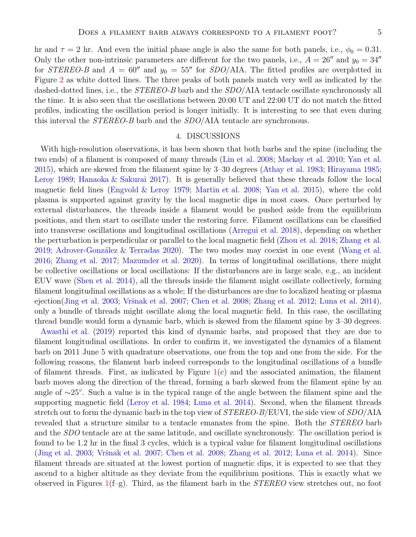hr and  $\tau = 2$  hr. And even the initial phase angle is also the same for both panels, i.e.,  $\phi_0 = 0.31$ . Only the other non-intrinsic parameters are different for the two panels, i.e.,  $A = 26''$  and  $y_0 = 34''$ for STEREO-B and  $A = 60''$  and  $y_0 = 55''$  for SDO/AIA. The fitted profiles are overplotted in Figure [2](#page-10-0) as white dotted lines. The three peaks of both panels match very well as indicated by the dashed-dotted lines, i.e., the *STEREO-B* barb and the *SDO*/AIA tentacle oscillate synchronously all the time. It is also seen that the oscillations between 20:00 UT and 22:00 UT do not match the fitted profiles, indicating the oscillation period is longer initially. It is interesting to see that even during this interval the *STEREO-B* barb and the *SDO*/AIA tentacle are synchronous.

#### 4. DISCUSSIONS

<span id="page-4-0"></span>With high-resolution observations, it has been shown that both barbs and the spine (including the two ends) of a filament is composed of many threads [\(Lin et al. 2008](#page-7-24); [Mackay et al. 2010;](#page-7-4) [Yan et al.](#page-8-7) [2015](#page-8-7)), which are skewed from the filament spine by 3–30 degrees [\(Athay et al. 1983](#page-6-9); [Hirayama 1985;](#page-7-25) [Leroy 1989;](#page-7-26) [Hanaoka & Sakurai 2017\)](#page-7-27). It is generally believed that these threads follow the local magnetic field lines [\(Engvold & Leroy 1979](#page-7-28); [Martin et al. 2008](#page-7-18); [Yan et al. 2015](#page-8-7)), where the cold plasma is supported against gravity by the local magnetic dips in most cases. Once perturbed by external disturbances, the threads inside a filament would be pushed aside from the equilibrium positions, and then start to oscillate under the restoring force. Filament oscillations can be classified into transverse oscillations and longitudinal oscillations [\(Arregui et al. 2018](#page-6-10)), depending on whether the perturbation is perpendicular or parallel to the local magnetic field [\(Zhou et al. 2018](#page-8-8); [Zhang et al.](#page-8-9) [2019](#page-8-9); Adrover-González & Terradas 2020). The two modes may coexist in one event [\(Wang et al.](#page-8-10) [2016](#page-8-10); [Zhang et al. 2017](#page-8-11); [Mazumder et al. 2020\)](#page-7-29). In terms of longitudinal oscillations, there might be collective oscillations or local oscillations: If the disturbances are in large scale, e.g., an incident EUV wave [\(Shen et al. 2014\)](#page-7-30), all the threads inside the filament might oscillate collectively, forming filament longitudinal oscillations as a whole; If the disturbances are due to localized heating or plasma ejection[\(Jing et al. 2003;](#page-7-31) Vršnak et al. 2007; [Chen et al. 2008](#page-6-12); [Zhang et al. 2012;](#page-8-6) [Luna et al. 2014](#page-7-32)), only a bundle of threads might oscillate along the local magnetic field. In this case, the oscillating thread bundle would form a dynamic barb, which is skewed from the filament spine by 3–30 degrees.

[Awasthi et al.](#page-6-8) [\(2019\)](#page-6-8) reported this kind of dynamic barbs, and proposed that they are due to filament longitudinal oscillations. In order to confirm it, we investigated the dynamics of a filament barb on 2011 June 5 with quadrature observations, one from the top and one from the side. For the following reasons, the filament barb indeed corresponds to the longitudinal oscillations of a bundle of filament threads. First, as indicated by Figure [1\(](#page-9-0)c) and the associated animation, the filament barb moves along the direction of the thread, forming a barb skewed from the filament spine by an angle of ∼25◦ . Such a value is in the typical range of the angle between the filament spine and the supporting magnetic field [\(Leroy et al. 1984;](#page-7-33) [Luna et al. 2014](#page-7-32)). Second, when the filament threads stretch out to form the dynamic barb in the top view of  $STEREO-B/EUVI$ , the side view of  $SDO/AIA$ revealed that a structure similar to a tentacle emanates from the spine. Both the *STEREO* barb and the SDO tentacle are at the same latitude, and oscillate synchronously. The oscillation period is found to be 1.2 hr in the final 3 cycles, which is a typical value for filament longitudinal oscillations [\(Jing et al. 2003](#page-7-31); Vršnak et al. 2007; [Chen et al. 2008;](#page-6-12) [Zhang et al. 2012](#page-8-6); [Luna et al. 2014\)](#page-7-32). Since filament threads are situated at the lowest portion of magnetic dips, it is expected to see that they ascend to a higher altitude as they deviate from the equilibrium positions. This is exactly what we observed in Figures  $1(f-g)$  $1(f-g)$ . Third, as the filament barb in the *STEREO* view stretches out, no foot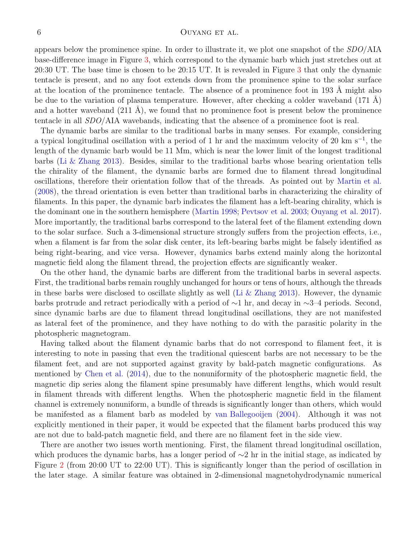#### 6 OUYANG ET AL.

appears below the prominence spine. In order to illustrate it, we plot one snapshot of the  $SDO/AA$ base-difference image in Figure [3,](#page-11-0) which correspond to the dynamic barb which just stretches out at 20:30 UT. The base time is chosen to be 20:15 UT. It is revealed in Figure [3](#page-11-0) that only the dynamic tentacle is present, and no any foot extends down from the prominence spine to the solar surface at the location of the prominence tentacle. The absence of a prominence foot in 193  $\AA$  might also be due to the variation of plasma temperature. However, after checking a colder waveband  $(171 \text{ Å})$ and a hotter waveband  $(211 \text{ Å})$ , we found that no prominence foot is present below the prominence tentacle in all SDO/AIA wavebands, indicating that the absence of a prominence foot is real.

The dynamic barbs are similar to the traditional barbs in many senses. For example, considering a typical longitudinal oscillation with a period of 1 hr and the maximum velocity of 20 km s<sup>−</sup><sup>1</sup> , the length of the dynamic barb would be 11 Mm, which is near the lower limit of the longest traditional barbs [\(Li & Zhang 2013](#page-7-34)). Besides, similar to the traditional barbs whose bearing orientation tells the chirality of the filament, the dynamic barbs are formed due to filament thread longitudinal oscillations, therefore their orientation follow that of the threads. As pointed out by [Martin et al.](#page-7-18) [\(2008\)](#page-7-18), the thread orientation is even better than traditional barbs in characterizing the chirality of filaments. In this paper, the dynamic barb indicates the filament has a left-bearing chirality, which is the dominant one in the southern hemisphere [\(Martin 1998;](#page-7-11) [Pevtsov et al. 2003;](#page-7-6) [Ouyang et al. 2017](#page-7-8)). More importantly, the traditional barbs correspond to the lateral feet of the filament extending down to the solar surface. Such a 3-dimensional structure strongly suffers from the projection effects, i.e., when a filament is far from the solar disk center, its left-bearing barbs might be falsely identified as being right-bearing, and vice versa. However, dynamics barbs extend mainly along the horizontal magnetic field along the filament thread, the projection effects are significantly weaker.

On the other hand, the dynamic barbs are different from the traditional barbs in several aspects. First, the traditional barbs remain roughly unchanged for hours or tens of hours, although the threads in these barbs were disclosed to oscillate slightly as well (Li  $&$  Zhang 2013). However, the dynamic barbs protrude and retract periodically with a period of ∼1 hr, and decay in ∼3–4 periods. Second, since dynamic barbs are due to filament thread longitudinal oscillations, they are not manifested as lateral feet of the prominence, and they have nothing to do with the parasitic polarity in the photospheric magnetogram.

Having talked about the filament dynamic barbs that do not correspond to filament feet, it is interesting to note in passing that even the traditional quiescent barbs are not necessary to be the filament feet, and are not supported against gravity by bald-patch magnetic configurations. As mentioned by [Chen et al.](#page-6-1) [\(2014](#page-6-1)), due to the nonuniformity of the photospheric magnetic field, the magnetic dip series along the filament spine presumably have different lengths, which would result in filament threads with different lengths. When the photospheric magnetic field in the filament channel is extremely nonuniform, a bundle of threads is significantly longer than others, which would be manifested as a filament barb as modeled by [van Ballegooijen](#page-7-22) [\(2004\)](#page-7-22). Although it was not explicitly mentioned in their paper, it would be expected that the filament barbs produced this way are not due to bald-patch magnetic field, and there are no filament feet in the side view.

There are another two issues worth mentioning. First, the filament thread longitudinal oscillation, which produces the dynamic barbs, has a longer period of ∼2 hr in the initial stage, as indicated by Figure [2](#page-10-0) (from 20:00 UT to 22:00 UT). This is significantly longer than the period of oscillation in the later stage. A similar feature was obtained in 2-dimensional magnetohydrodynamic numerical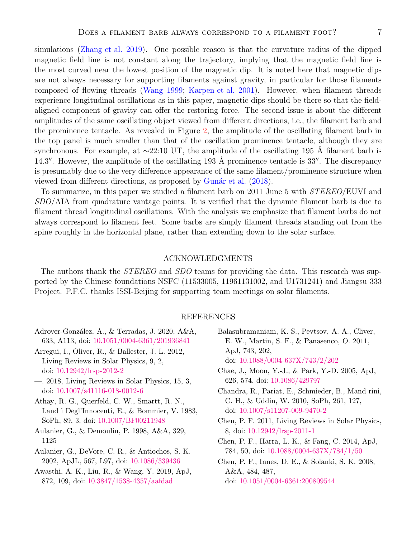simulations [\(Zhang et al. 2019](#page-8-9)). One possible reason is that the curvature radius of the dipped magnetic field line is not constant along the trajectory, implying that the magnetic field line is the most curved near the lowest position of the magnetic dip. It is noted here that magnetic dips are not always necessary for supporting filaments against gravity, in particular for those filaments composed of flowing threads [\(Wang 1999;](#page-8-13) [Karpen et al. 2001\)](#page-7-35). However, when filament threads experience longitudinal oscillations as in this paper, magnetic dips should be there so that the fieldaligned component of gravity can offer the restoring force. The second issue is about the different amplitudes of the same oscillating object viewed from different directions, i.e., the filament barb and the prominence tentacle. As revealed in Figure [2,](#page-10-0) the amplitude of the oscillating filament barb in the top panel is much smaller than that of the oscillation prominence tentacle, although they are synchronous. For example, at  $\sim$ 22:10 UT, the amplitude of the oscillating 195 Å filament barb is 14.3″. However, the amplitude of the oscillating 193 Å prominence tentacle is  $33''$ . The discrepancy is presumably due to the very difference appearance of the same filament/prominence structure when viewed from different directions, as proposed by Gunár et al. [\(2018\)](#page-7-36).

To summarize, in this paper we studied a filament barb on 2011 June 5 with STEREO/EUVI and SDO/AIA from quadrature vantage points. It is verified that the dynamic filament barb is due to filament thread longitudinal oscillations. With the analysis we emphasize that filament barbs do not always correspond to filament feet. Some barbs are simply filament threads standing out from the spine roughly in the horizontal plane, rather than extending down to the solar surface.

# ACKNOWLEDGMENTS

The authors thank the *STEREO* and *SDO* teams for providing the data. This research was supported by the Chinese foundations NSFC (11533005, 11961131002, and U1731241) and Jiangsu 333 Project. P.F.C. thanks ISSI-Beijing for supporting team meetings on solar filaments.

# REFERENCES

- <span id="page-6-11"></span>Adrover-Gonz´alez, A., & Terradas, J. 2020, A&A, 633, A113, doi: [10.1051/0004-6361/201936841](http://doi.org/10.1051/0004-6361/201936841)
- <span id="page-6-2"></span>Arregui, I., Oliver, R., & Ballester, J. L. 2012, Living Reviews in Solar Physics, 9, 2, doi: [10.12942/lrsp-2012-2](http://doi.org/10.12942/lrsp-2012-2)
- <span id="page-6-10"></span>—. 2018, Living Reviews in Solar Physics, 15, 3, doi: [10.1007/s41116-018-0012-6](http://doi.org/10.1007/s41116-018-0012-6)
- <span id="page-6-9"></span>Athay, R. G., Querfeld, C. W., Smartt, R. N., Land i Degl'Innocenti, E., & Bommier, V. 1983, SoPh, 89, 3, doi: [10.1007/BF00211948](http://doi.org/10.1007/BF00211948)
- <span id="page-6-5"></span>Aulanier, G., & Demoulin, P. 1998, A&A, 329, 1125
- <span id="page-6-7"></span>Aulanier, G., DeVore, C. R., & Antiochos, S. K. 2002, ApJL, 567, L97, doi: [10.1086/339436](http://doi.org/10.1086/339436)
- <span id="page-6-8"></span>Awasthi, A. K., Liu, R., & Wang, Y. 2019, ApJ, 872, 109, doi: [10.3847/1538-4357/aafdad](http://doi.org/10.3847/1538-4357/aafdad)
- <span id="page-6-4"></span>Balasubramaniam, K. S., Pevtsov, A. A., Cliver, E. W., Martin, S. F., & Panasenco, O. 2011, ApJ, 743, 202, doi: [10.1088/0004-637X/743/2/202](http://doi.org/10.1088/0004-637X/743/2/202)
- <span id="page-6-6"></span>Chae, J., Moon, Y.-J., & Park, Y.-D. 2005, ApJ, 626, 574, doi: [10.1086/429797](http://doi.org/10.1086/429797)
- <span id="page-6-3"></span>Chandra, R., Pariat, E., Schmieder, B., Mand rini, C. H., & Uddin, W. 2010, SoPh, 261, 127, doi: [10.1007/s11207-009-9470-2](http://doi.org/10.1007/s11207-009-9470-2)
- <span id="page-6-0"></span>Chen, P. F. 2011, Living Reviews in Solar Physics, 8, doi: [10.12942/lrsp-2011-1](http://doi.org/10.12942/lrsp-2011-1)
- <span id="page-6-1"></span>Chen, P. F., Harra, L. K., & Fang, C. 2014, ApJ, 784, 50, doi: [10.1088/0004-637X/784/1/50](http://doi.org/10.1088/0004-637X/784/1/50)
- <span id="page-6-12"></span>Chen, P. F., Innes, D. E., & Solanki, S. K. 2008, A&A, 484, 487, doi: [10.1051/0004-6361:200809544](http://doi.org/10.1051/0004-6361:200809544)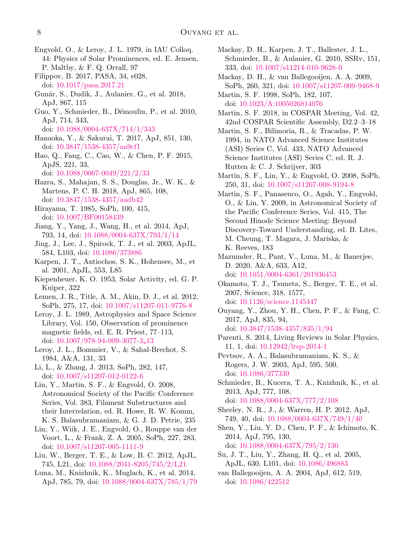- <span id="page-7-28"></span>Engvold, O., & Leroy, J. L. 1979, in IAU Colloq. 44: Physics of Solar Prominences, ed. E. Jensen, P. Maltby, & F. Q. Orrall, 97
- <span id="page-7-17"></span>Filippov, B. 2017, PASA, 34, e028, doi: [10.1017/pasa.2017.21](http://doi.org/10.1017/pasa.2017.21)
- <span id="page-7-36"></span>Gunár, S., Dudík, J., Aulanier, G., et al. 2018, ApJ, 867, 115
- <span id="page-7-15"></span>Guo, Y., Schmieder, B., Démoulin, P., et al. 2010, ApJ, 714, 343,
	- doi: [10.1088/0004-637X/714/1/343](http://doi.org/10.1088/0004-637X/714/1/343)
- <span id="page-7-27"></span>Hanaoka, Y., & Sakurai, T. 2017, ApJ, 851, 130, doi: [10.3847/1538-4357/aa9cf1](http://doi.org/10.3847/1538-4357/aa9cf1)
- <span id="page-7-7"></span>Hao, Q., Fang, C., Cao, W., & Chen, P. F. 2015, ApJS, 221, 33, doi: [10.1088/0067-0049/221/2/33](http://doi.org/10.1088/0067-0049/221/2/33)
- <span id="page-7-14"></span>Hazra, S., Mahajan, S. S., Douglas, Jr., W. K., & Martens, P. C. H. 2018, ApJ, 865, 108, doi: [10.3847/1538-4357/aadb42](http://doi.org/10.3847/1538-4357/aadb42)
- <span id="page-7-25"></span>Hirayama, T. 1985, SoPh, 100, 415, doi: [10.1007/BF00158439](http://doi.org/10.1007/BF00158439)
- <span id="page-7-13"></span>Jiang, Y., Yang, J., Wang, H., et al. 2014, ApJ, 793, 14, doi: [10.1088/0004-637X/793/1/14](http://doi.org/10.1088/0004-637X/793/1/14)
- <span id="page-7-31"></span>Jing, J., Lee, J., Spirock, T. J., et al. 2003, ApJL, 584, L103, doi: [10.1086/373886](http://doi.org/10.1086/373886)
- <span id="page-7-35"></span>Karpen, J. T., Antiochos, S. K., Hohensee, M., et al. 2001, ApJL, 553, L85
- <span id="page-7-2"></span>Kiepenheuer, K. O. 1953, Solar Activity, ed. G. P. Kuiper, 322
- <span id="page-7-23"></span>Lemen, J. R., Title, A. M., Akin, D. J., et al. 2012, SoPh, 275, 17, doi: [10.1007/s11207-011-9776-8](http://doi.org/10.1007/s11207-011-9776-8)
- <span id="page-7-26"></span>Leroy, J. L. 1989, Astrophysics and Space Science Library, Vol. 150, Observation of prominence magnetic fields, ed. E. R. Priest, 77–113, doi: [10.1007/978-94-009-3077-3](http://doi.org/10.1007/978-94-009-3077-3_13) 13
- <span id="page-7-33"></span>Leroy, J. L., Bommier, V., & Sahal-Brechot, S. 1984, A&A, 131, 33
- <span id="page-7-34"></span>Li, L., & Zhang, J. 2013, SoPh, 282, 147, doi: [10.1007/s11207-012-0122-6](http://doi.org/10.1007/s11207-012-0122-6)
- <span id="page-7-24"></span>Lin, Y., Martin, S. F., & Engvold, O. 2008, Astronomical Society of the Pacific Conference Series, Vol. 383, Filament Substructures and their Interrelation, ed. R. Howe, R. W. Komm, K. S. Balasubramaniam, & G. J. D. Petrie, 235
- <span id="page-7-21"></span>Lin, Y., Wiik, J. E., Engvold, O., Rouppe van der Voort, L., & Frank, Z. A. 2005, SoPh, 227, 283, doi: [10.1007/s11207-005-1111-9](http://doi.org/10.1007/s11207-005-1111-9)
- <span id="page-7-10"></span>Liu, W., Berger, T. E., & Low, B. C. 2012, ApJL, 745, L21, doi: [10.1088/2041-8205/745/2/L21](http://doi.org/10.1088/2041-8205/745/2/L21)
- <span id="page-7-32"></span>Luna, M., Knizhnik, K., Muglach, K., et al. 2014, ApJ, 785, 79, doi: [10.1088/0004-637X/785/1/79](http://doi.org/10.1088/0004-637X/785/1/79)
- <span id="page-7-4"></span>Mackay, D. H., Karpen, J. T., Ballester, J. L., Schmieder, B., & Aulanier, G. 2010, SSRv, 151, 333, doi: [10.1007/s11214-010-9628-0](http://doi.org/10.1007/s11214-010-9628-0)
- <span id="page-7-20"></span>Mackay, D. H., & van Ballegooijen, A. A. 2009, SoPh, 260, 321, doi: [10.1007/s11207-009-9468-9](http://doi.org/10.1007/s11207-009-9468-9)
- <span id="page-7-11"></span>Martin, S. F. 1998, SoPh, 182, 107, doi: [10.1023/A:1005026814076](http://doi.org/10.1023/A:1005026814076)
- <span id="page-7-5"></span>Martin, S. F. 2018, in COSPAR Meeting, Vol. 42, 42nd COSPAR Scientific Assembly, D2.2–3–18
- <span id="page-7-3"></span>Martin, S. F., Bilimoria, R., & Tracadas, P. W. 1994, in NATO Advanced Science Institutes (ASI) Series C, Vol. 433, NATO Advanced Science Institutes (ASI) Series C, ed. R. J. Rutten & C. J. Schrijver, 303
- <span id="page-7-18"></span>Martin, S. F., Lin, Y., & Engvold, O. 2008, SoPh, 250, 31, doi: [10.1007/s11207-008-9194-8](http://doi.org/10.1007/s11207-008-9194-8)
- <span id="page-7-19"></span>Martin, S. F., Panasenco, O., Agah, Y., Engvold, O., & Lin, Y. 2009, in Astronomical Society of the Pacific Conference Series, Vol. 415, The Second Hinode Science Meeting: Beyond Discovery-Toward Understanding, ed. B. Lites, M. Cheung, T. Magara, J. Mariska, & K. Reeves, 183
- <span id="page-7-29"></span>Mazumder, R., Pant, V., Luna, M., & Banerjee, D. 2020, A&A, 633, A12, doi: [10.1051/0004-6361/201936453](http://doi.org/10.1051/0004-6361/201936453)
- <span id="page-7-9"></span>Okamoto, T. J., Tsuneta, S., Berger, T. E., et al. 2007, Science, 318, 1577, doi: [10.1126/science.1145447](http://doi.org/10.1126/science.1145447)
- <span id="page-7-8"></span>Ouyang, Y., Zhou, Y. H., Chen, P. F., & Fang, C. 2017, ApJ, 835, 94, doi: [10.3847/1538-4357/835/1/94](http://doi.org/10.3847/1538-4357/835/1/94)
- <span id="page-7-0"></span>Parenti, S. 2014, Living Reviews in Solar Physics, 11, 1, doi: [10.12942/lrsp-2014-1](http://doi.org/10.12942/lrsp-2014-1)
- <span id="page-7-6"></span>Pevtsov, A. A., Balasubramaniam, K. S., & Rogers, J. W. 2003, ApJ, 595, 500, doi: [10.1086/377339](http://doi.org/10.1086/377339)
- <span id="page-7-1"></span>Schmieder, B., Kucera, T. A., Knizhnik, K., et al. 2013, ApJ, 777, 108, doi: [10.1088/0004-637X/777/2/108](http://doi.org/10.1088/0004-637X/777/2/108)
- <span id="page-7-16"></span>Sheeley, N. R., J., & Warren, H. P. 2012, ApJ, 749, 40, doi: [10.1088/0004-637X/749/1/40](http://doi.org/10.1088/0004-637X/749/1/40)
- <span id="page-7-30"></span>Shen, Y., Liu, Y. D., Chen, P. F., & Ichimoto, K. 2014, ApJ, 795, 130,
- doi: [10.1088/0004-637X/795/2/130](http://doi.org/10.1088/0004-637X/795/2/130)
- <span id="page-7-12"></span>Su, J. T., Liu, Y., Zhang, H. Q., et al. 2005, ApJL, 630, L101, doi: [10.1086/496883](http://doi.org/10.1086/496883)
- <span id="page-7-22"></span>van Ballegooijen, A. A. 2004, ApJ, 612, 519, doi: [10.1086/422512](http://doi.org/10.1086/422512)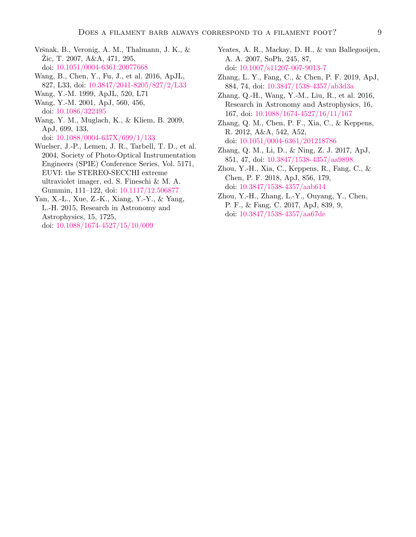- <span id="page-8-12"></span>Vršnak, B., Veronig, A. M., Thalmann, J. K.,  $\&$ Zic, T. 2007, A&A,  $471, 295,$ doi: [10.1051/0004-6361:20077668](http://doi.org/10.1051/0004-6361:20077668)
- <span id="page-8-10"></span>Wang, B., Chen, Y., Fu, J., et al. 2016, ApJL, 827, L33, doi: [10.3847/2041-8205/827/2/L33](http://doi.org/10.3847/2041-8205/827/2/L33)
- <span id="page-8-13"></span>Wang, Y.-M. 1999, ApJL, 520, L71
- <span id="page-8-3"></span>Wang, Y.-M. 2001, ApJ, 560, 456, doi: [10.1086/322495](http://doi.org/10.1086/322495)
- <span id="page-8-2"></span>Wang, Y. M., Muglach, K., & Kliem, B. 2009, ApJ, 699, 133, doi: [10.1088/0004-637X/699/1/133](http://doi.org/10.1088/0004-637X/699/1/133)
- <span id="page-8-5"></span>Wuelser, J.-P., Lemen, J. R., Tarbell, T. D., et al. 2004, Society of Photo-Optical Instrumentation Engineers (SPIE) Conference Series, Vol. 5171, EUVI: the STEREO-SECCHI extreme ultraviolet imager, ed. S. Fineschi & M. A. Gummin, 111–122, doi: [10.1117/12.506877](http://doi.org/10.1117/12.506877)
- <span id="page-8-7"></span>Yan, X.-L., Xue, Z.-K., Xiang, Y.-Y., & Yang, L.-H. 2015, Research in Astronomy and Astrophysics, 15, 1725, doi: [10.1088/1674-4527/15/10/009](http://doi.org/10.1088/1674-4527/15/10/009)
- <span id="page-8-1"></span>Yeates, A. R., Mackay, D. H., & van Ballegooijen, A. A. 2007, SoPh, 245, 87, doi: [10.1007/s11207-007-9013-7](http://doi.org/10.1007/s11207-007-9013-7)
- <span id="page-8-9"></span>Zhang, L. Y., Fang, C., & Chen, P. F. 2019, ApJ, 884, 74, doi: [10.3847/1538-4357/ab3d3a](http://doi.org/10.3847/1538-4357/ab3d3a)
- <span id="page-8-0"></span>Zhang, Q.-H., Wang, Y.-M., Liu, R., et al. 2016, Research in Astronomy and Astrophysics, 16, 167, doi: [10.1088/1674-4527/16/11/167](http://doi.org/10.1088/1674-4527/16/11/167)
- <span id="page-8-6"></span>Zhang, Q. M., Chen, P. F., Xia, C., & Keppens, R. 2012, A&A, 542, A52, doi: [10.1051/0004-6361/201218786](http://doi.org/10.1051/0004-6361/201218786)
- <span id="page-8-11"></span>Zhang, Q. M., Li, D., & Ning, Z. J. 2017, ApJ, 851, 47, doi: [10.3847/1538-4357/aa9898](http://doi.org/10.3847/1538-4357/aa9898)
- <span id="page-8-8"></span>Zhou, Y.-H., Xia, C., Keppens, R., Fang, C., & Chen, P. F. 2018, ApJ, 856, 179, doi: [10.3847/1538-4357/aab614](http://doi.org/10.3847/1538-4357/aab614)
- <span id="page-8-4"></span>Zhou, Y.-H., Zhang, L.-Y., Ouyang, Y., Chen, P. F., & Fang, C. 2017, ApJ, 839, 9, doi: [10.3847/1538-4357/aa67de](http://doi.org/10.3847/1538-4357/aa67de)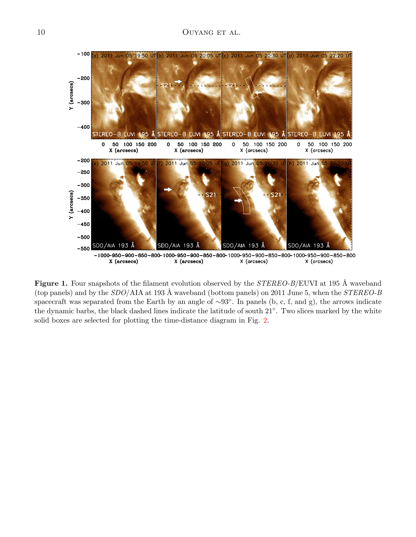

<span id="page-9-0"></span>Figure 1. Four snapshots of the filament evolution observed by the  $STEREO-B/EUVI$  at 195 Å waveband (top panels) and by the  $SDO/ATA$  at 193 Å waveband (bottom panels) on 2011 June 5, when the  $STEREO-B$ spacecraft was separated from the Earth by an angle of ∼93◦ . In panels (b, c, f, and g), the arrows indicate the dynamic barbs, the black dashed lines indicate the latitude of south 21◦ . Two slices marked by the white solid boxes are selected for plotting the time-distance diagram in Fig. [2.](#page-10-0)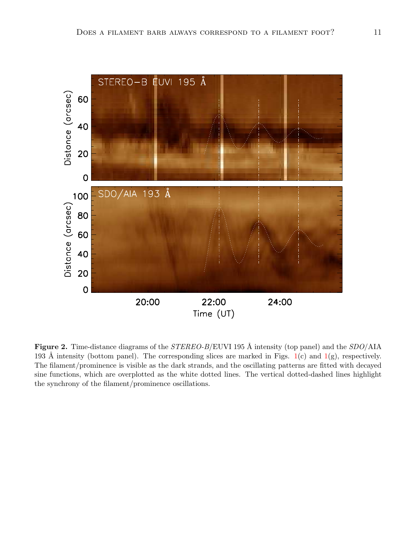

<span id="page-10-0"></span>Figure 2. Time-distance diagrams of the  $STEREO-B/EUVI$  195 Å intensity (top panel) and the  $SDO/AAA$ 193 Å intensity (bottom panel). The corresponding slices are marked in Figs.  $1(c)$  $1(c)$  and  $1(g)$ , respectively. The filament/prominence is visible as the dark strands, and the oscillating patterns are fitted with decayed sine functions, which are overplotted as the white dotted lines. The vertical dotted-dashed lines highlight the synchrony of the filament/prominence oscillations.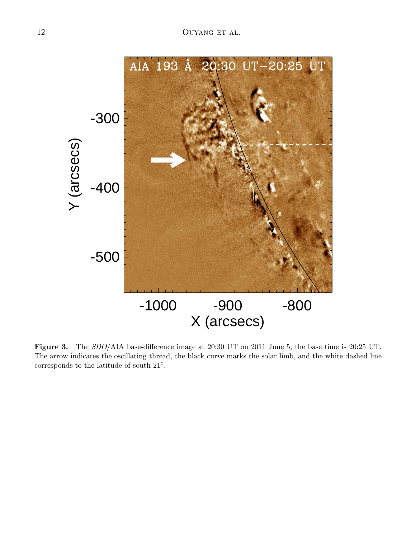

<span id="page-11-0"></span>Figure 3. The SDO/AIA base-difference image at 20:30 UT on 2011 June 5, the base time is 20:25 UT. The arrow indicates the oscillating thread, the black curve marks the solar limb, and the white dashed line corresponds to the latitude of south 21◦ .